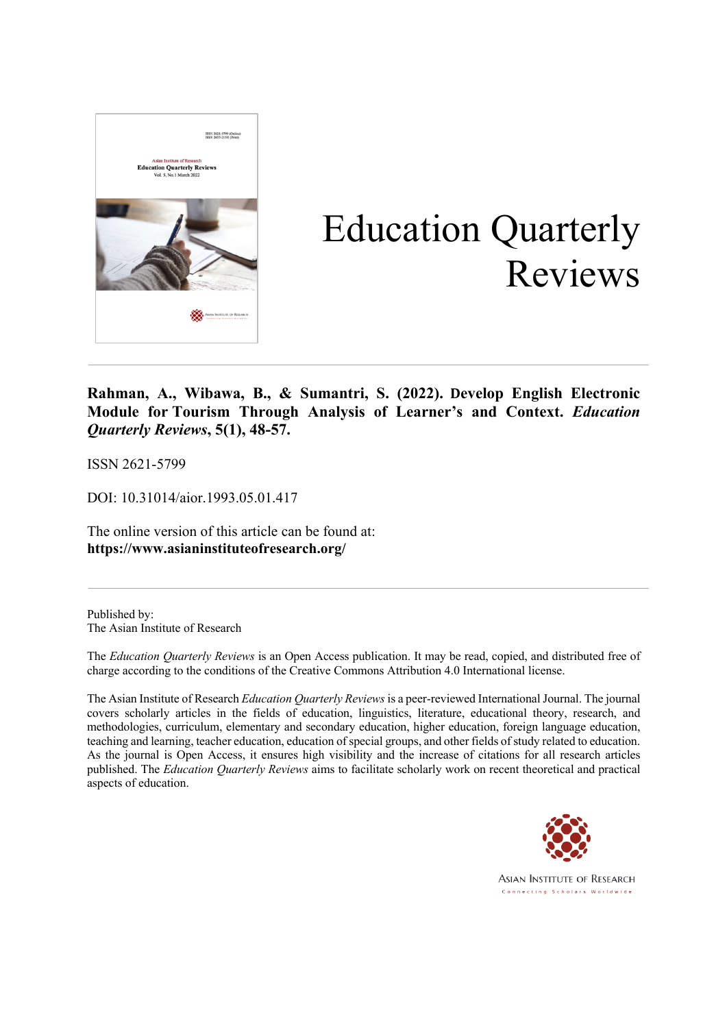

# Education Quarterly Reviews

**Rahman, A., Wibawa, B., & Sumantri, S. (2022). Develop English Electronic Module for Tourism Through Analysis of Learner's and Context.** *Education Quarterly Reviews***, 5(1), 48-57.**

ISSN 2621-5799

DOI: 10.31014/aior.1993.05.01.417

The online version of this article can be found at: **https://www.asianinstituteofresearch.org/**

Published by: The Asian Institute of Research

The *Education Quarterly Reviews* is an Open Access publication. It may be read, copied, and distributed free of charge according to the conditions of the Creative Commons Attribution 4.0 International license.

The Asian Institute of Research *Education Quarterly Reviews* is a peer-reviewed International Journal. The journal covers scholarly articles in the fields of education, linguistics, literature, educational theory, research, and methodologies, curriculum, elementary and secondary education, higher education, foreign language education, teaching and learning, teacher education, education of special groups, and other fields of study related to education. As the journal is Open Access, it ensures high visibility and the increase of citations for all research articles published. The *Education Quarterly Reviews* aims to facilitate scholarly work on recent theoretical and practical aspects of education.



**ASIAN INSTITUTE OF RESEARCH** Connecting Scholars Worldwide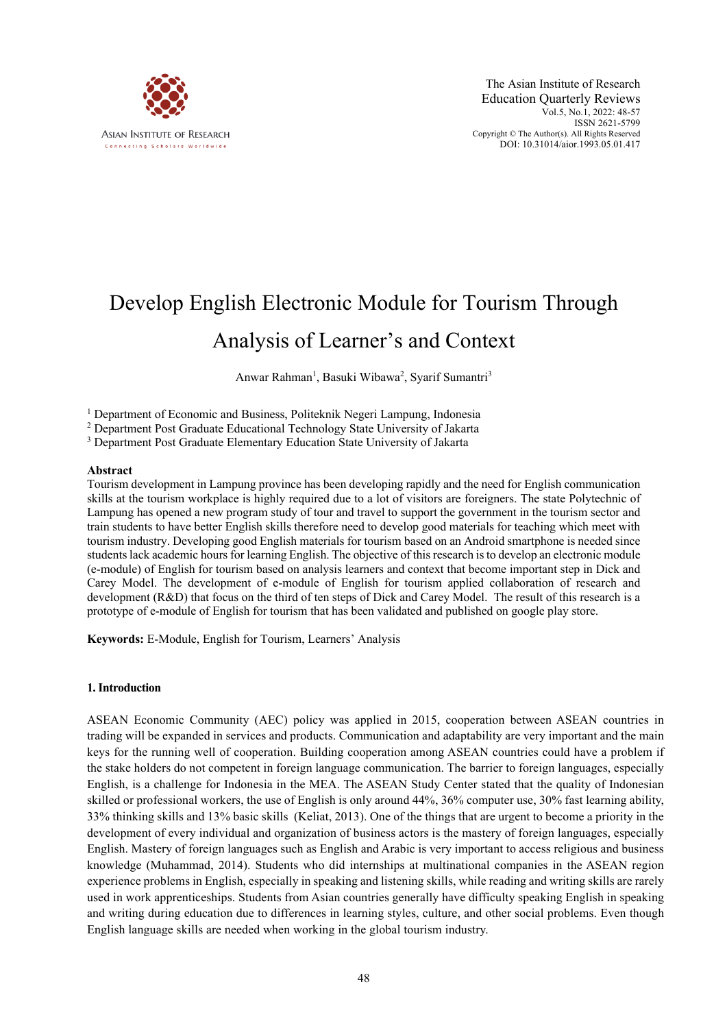

# Develop English Electronic Module for Tourism Through Analysis of Learner's and Context

Anwar Rahman<sup>1</sup>, Basuki Wibawa<sup>2</sup>, Syarif Sumantri<sup>3</sup>

<sup>1</sup> Department of Economic and Business, Politeknik Negeri Lampung, Indonesia

<sup>2</sup> Department Post Graduate Educational Technology State University of Jakarta

<sup>3</sup> Department Post Graduate Elementary Education State University of Jakarta

#### **Abstract**

Tourism development in Lampung province has been developing rapidly and the need for English communication skills at the tourism workplace is highly required due to a lot of visitors are foreigners. The state Polytechnic of Lampung has opened a new program study of tour and travel to support the government in the tourism sector and train students to have better English skills therefore need to develop good materials for teaching which meet with tourism industry. Developing good English materials for tourism based on an Android smartphone is needed since students lack academic hours for learning English. The objective of this research is to develop an electronic module (e-module) of English for tourism based on analysis learners and context that become important step in Dick and Carey Model. The development of e-module of English for tourism applied collaboration of research and development (R&D) that focus on the third of ten steps of Dick and Carey Model. The result of this research is a prototype of e-module of English for tourism that has been validated and published on google play store.

**Keywords:** E-Module, English for Tourism, Learners' Analysis

#### **1. Introduction**

ASEAN Economic Community (AEC) policy was applied in 2015, cooperation between ASEAN countries in trading will be expanded in services and products. Communication and adaptability are very important and the main keys for the running well of cooperation. Building cooperation among ASEAN countries could have a problem if the stake holders do not competent in foreign language communication. The barrier to foreign languages, especially English, is a challenge for Indonesia in the MEA. The ASEAN Study Center stated that the quality of Indonesian skilled or professional workers, the use of English is only around 44%, 36% computer use, 30% fast learning ability, 33% thinking skills and 13% basic skills (Keliat, 2013). One of the things that are urgent to become a priority in the development of every individual and organization of business actors is the mastery of foreign languages, especially English. Mastery of foreign languages such as English and Arabic is very important to access religious and business knowledge (Muhammad, 2014). Students who did internships at multinational companies in the ASEAN region experience problems in English, especially in speaking and listening skills, while reading and writing skills are rarely used in work apprenticeships. Students from Asian countries generally have difficulty speaking English in speaking and writing during education due to differences in learning styles, culture, and other social problems. Even though English language skills are needed when working in the global tourism industry.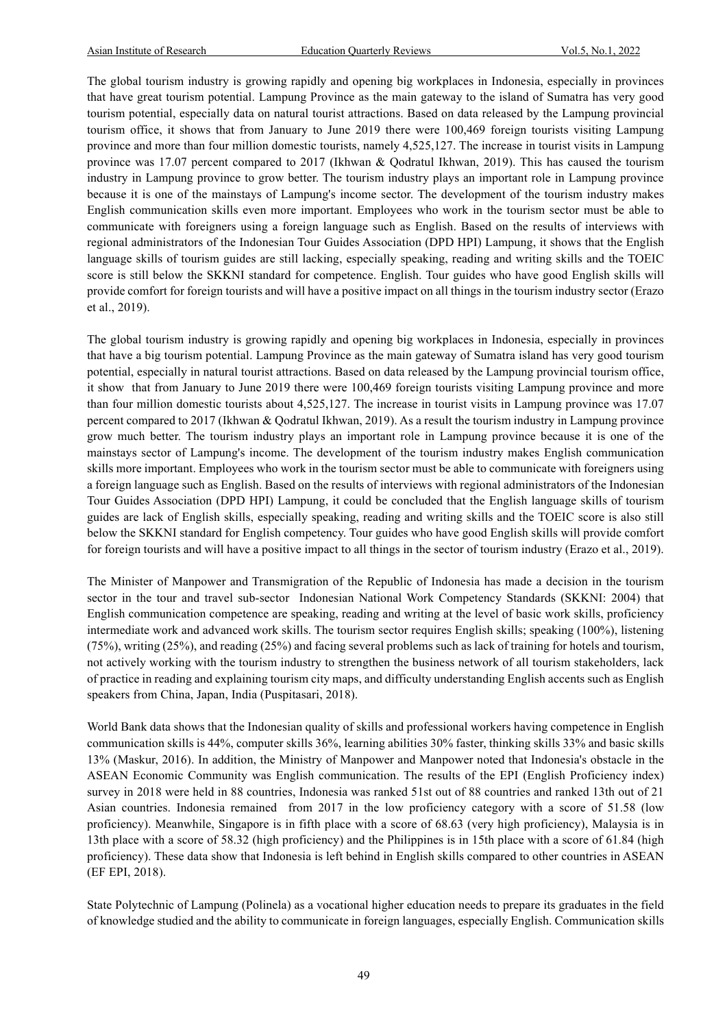The global tourism industry is growing rapidly and opening big workplaces in Indonesia, especially in provinces that have great tourism potential. Lampung Province as the main gateway to the island of Sumatra has very good tourism potential, especially data on natural tourist attractions. Based on data released by the Lampung provincial tourism office, it shows that from January to June 2019 there were 100,469 foreign tourists visiting Lampung province and more than four million domestic tourists, namely 4,525,127. The increase in tourist visits in Lampung province was 17.07 percent compared to 2017 (Ikhwan & Qodratul Ikhwan, 2019). This has caused the tourism industry in Lampung province to grow better. The tourism industry plays an important role in Lampung province because it is one of the mainstays of Lampung's income sector. The development of the tourism industry makes English communication skills even more important. Employees who work in the tourism sector must be able to communicate with foreigners using a foreign language such as English. Based on the results of interviews with regional administrators of the Indonesian Tour Guides Association (DPD HPI) Lampung, it shows that the English language skills of tourism guides are still lacking, especially speaking, reading and writing skills and the TOEIC score is still below the SKKNI standard for competence. English. Tour guides who have good English skills will provide comfort for foreign tourists and will have a positive impact on all things in the tourism industry sector (Erazo et al., 2019).

The global tourism industry is growing rapidly and opening big workplaces in Indonesia, especially in provinces that have a big tourism potential. Lampung Province as the main gateway of Sumatra island has very good tourism potential, especially in natural tourist attractions. Based on data released by the Lampung provincial tourism office, it show that from January to June 2019 there were 100,469 foreign tourists visiting Lampung province and more than four million domestic tourists about 4,525,127. The increase in tourist visits in Lampung province was 17.07 percent compared to 2017 (Ikhwan & Qodratul Ikhwan, 2019). As a result the tourism industry in Lampung province grow much better. The tourism industry plays an important role in Lampung province because it is one of the mainstays sector of Lampung's income. The development of the tourism industry makes English communication skills more important. Employees who work in the tourism sector must be able to communicate with foreigners using a foreign language such as English. Based on the results of interviews with regional administrators of the Indonesian Tour Guides Association (DPD HPI) Lampung, it could be concluded that the English language skills of tourism guides are lack of English skills, especially speaking, reading and writing skills and the TOEIC score is also still below the SKKNI standard for English competency. Tour guides who have good English skills will provide comfort for foreign tourists and will have a positive impact to all things in the sector of tourism industry (Erazo et al., 2019).

The Minister of Manpower and Transmigration of the Republic of Indonesia has made a decision in the tourism sector in the tour and travel sub-sector Indonesian National Work Competency Standards (SKKNI: 2004) that English communication competence are speaking, reading and writing at the level of basic work skills, proficiency intermediate work and advanced work skills. The tourism sector requires English skills; speaking (100%), listening (75%), writing (25%), and reading (25%) and facing several problems such as lack of training for hotels and tourism, not actively working with the tourism industry to strengthen the business network of all tourism stakeholders, lack of practice in reading and explaining tourism city maps, and difficulty understanding English accents such as English speakers from China, Japan, India (Puspitasari, 2018).

World Bank data shows that the Indonesian quality of skills and professional workers having competence in English communication skills is 44%, computer skills 36%, learning abilities 30% faster, thinking skills 33% and basic skills 13% (Maskur, 2016). In addition, the Ministry of Manpower and Manpower noted that Indonesia's obstacle in the ASEAN Economic Community was English communication. The results of the EPI (English Proficiency index) survey in 2018 were held in 88 countries, Indonesia was ranked 51st out of 88 countries and ranked 13th out of 21 Asian countries. Indonesia remained from 2017 in the low proficiency category with a score of 51.58 (low proficiency). Meanwhile, Singapore is in fifth place with a score of 68.63 (very high proficiency), Malaysia is in 13th place with a score of 58.32 (high proficiency) and the Philippines is in 15th place with a score of 61.84 (high proficiency). These data show that Indonesia is left behind in English skills compared to other countries in ASEAN (EF EPI, 2018).

State Polytechnic of Lampung (Polinela) as a vocational higher education needs to prepare its graduates in the field of knowledge studied and the ability to communicate in foreign languages, especially English. Communication skills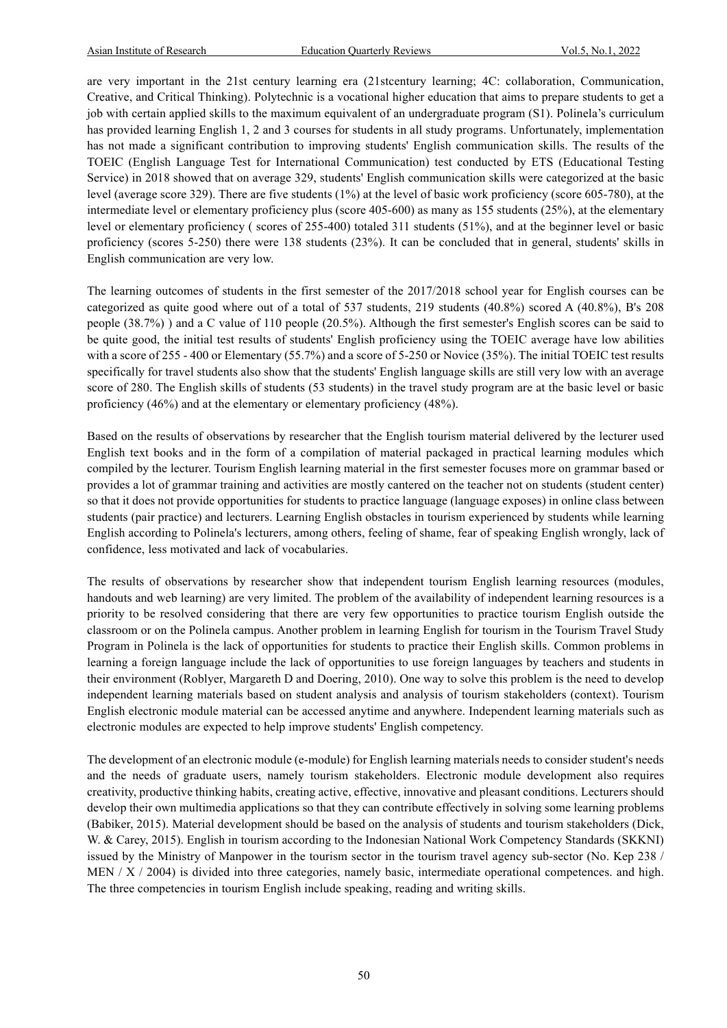are very important in the 21st century learning era (21stcentury learning; 4C: collaboration, Communication, Creative, and Critical Thinking). Polytechnic is a vocational higher education that aims to prepare students to get a job with certain applied skills to the maximum equivalent of an undergraduate program (S1). Polinela's curriculum has provided learning English 1, 2 and 3 courses for students in all study programs. Unfortunately, implementation has not made a significant contribution to improving students' English communication skills. The results of the TOEIC (English Language Test for International Communication) test conducted by ETS (Educational Testing Service) in 2018 showed that on average 329, students' English communication skills were categorized at the basic level (average score 329). There are five students (1%) at the level of basic work proficiency (score 605-780), at the intermediate level or elementary proficiency plus (score 405-600) as many as 155 students (25%), at the elementary level or elementary proficiency ( scores of 255-400) totaled 311 students (51%), and at the beginner level or basic proficiency (scores 5-250) there were 138 students (23%). It can be concluded that in general, students' skills in English communication are very low.

The learning outcomes of students in the first semester of the 2017/2018 school year for English courses can be categorized as quite good where out of a total of 537 students, 219 students (40.8%) scored A (40.8%), B's 208 people (38.7%) ) and a C value of 110 people (20.5%). Although the first semester's English scores can be said to be quite good, the initial test results of students' English proficiency using the TOEIC average have low abilities with a score of 255 - 400 or Elementary (55.7%) and a score of 5-250 or Novice (35%). The initial TOEIC test results specifically for travel students also show that the students' English language skills are still very low with an average score of 280. The English skills of students (53 students) in the travel study program are at the basic level or basic proficiency (46%) and at the elementary or elementary proficiency (48%).

Based on the results of observations by researcher that the English tourism material delivered by the lecturer used English text books and in the form of a compilation of material packaged in practical learning modules which compiled by the lecturer. Tourism English learning material in the first semester focuses more on grammar based or provides a lot of grammar training and activities are mostly cantered on the teacher not on students (student center) so that it does not provide opportunities for students to practice language (language exposes) in online class between students (pair practice) and lecturers. Learning English obstacles in tourism experienced by students while learning English according to Polinela's lecturers, among others, feeling of shame, fear of speaking English wrongly, lack of confidence, less motivated and lack of vocabularies.

The results of observations by researcher show that independent tourism English learning resources (modules, handouts and web learning) are very limited. The problem of the availability of independent learning resources is a priority to be resolved considering that there are very few opportunities to practice tourism English outside the classroom or on the Polinela campus. Another problem in learning English for tourism in the Tourism Travel Study Program in Polinela is the lack of opportunities for students to practice their English skills. Common problems in learning a foreign language include the lack of opportunities to use foreign languages by teachers and students in their environment (Roblyer, Margareth D and Doering, 2010). One way to solve this problem is the need to develop independent learning materials based on student analysis and analysis of tourism stakeholders (context). Tourism English electronic module material can be accessed anytime and anywhere. Independent learning materials such as electronic modules are expected to help improve students' English competency.

The development of an electronic module (e-module) for English learning materials needs to consider student's needs and the needs of graduate users, namely tourism stakeholders. Electronic module development also requires creativity, productive thinking habits, creating active, effective, innovative and pleasant conditions. Lecturers should develop their own multimedia applications so that they can contribute effectively in solving some learning problems (Babiker, 2015). Material development should be based on the analysis of students and tourism stakeholders (Dick, W. & Carey, 2015). English in tourism according to the Indonesian National Work Competency Standards (SKKNI) issued by the Ministry of Manpower in the tourism sector in the tourism travel agency sub-sector (No. Kep 238 / MEN / X / 2004) is divided into three categories, namely basic, intermediate operational competences. and high. The three competencies in tourism English include speaking, reading and writing skills.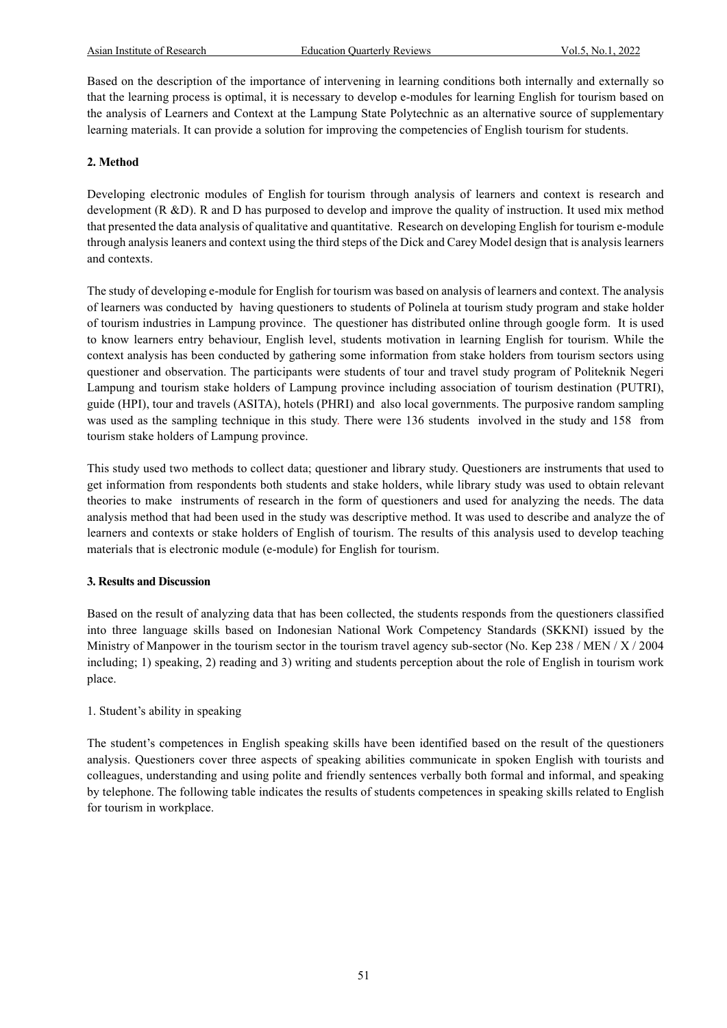Based on the description of the importance of intervening in learning conditions both internally and externally so that the learning process is optimal, it is necessary to develop e-modules for learning English for tourism based on the analysis of Learners and Context at the Lampung State Polytechnic as an alternative source of supplementary learning materials. It can provide a solution for improving the competencies of English tourism for students.

#### **2. Method**

Developing electronic modules of English for tourism through analysis of learners and context is research and development (R &D). R and D has purposed to develop and improve the quality of instruction. It used mix method that presented the data analysis of qualitative and quantitative. Research on developing English for tourism e-module through analysis leaners and context using the third steps of the Dick and Carey Model design that is analysis learners and contexts.

The study of developing e-module for English for tourism was based on analysis of learners and context. The analysis of learners was conducted by having questioners to students of Polinela at tourism study program and stake holder of tourism industries in Lampung province. The questioner has distributed online through google form. It is used to know learners entry behaviour, English level, students motivation in learning English for tourism. While the context analysis has been conducted by gathering some information from stake holders from tourism sectors using questioner and observation. The participants were students of tour and travel study program of Politeknik Negeri Lampung and tourism stake holders of Lampung province including association of tourism destination (PUTRI), guide (HPI), tour and travels (ASITA), hotels (PHRI) and also local governments. The purposive random sampling was used as the sampling technique in this study. There were 136 students involved in the study and 158 from tourism stake holders of Lampung province.

This study used two methods to collect data; questioner and library study. Questioners are instruments that used to get information from respondents both students and stake holders, while library study was used to obtain relevant theories to make instruments of research in the form of questioners and used for analyzing the needs. The data analysis method that had been used in the study was descriptive method. It was used to describe and analyze the of learners and contexts or stake holders of English of tourism. The results of this analysis used to develop teaching materials that is electronic module (e-module) for English for tourism.

#### **3. Results and Discussion**

Based on the result of analyzing data that has been collected, the students responds from the questioners classified into three language skills based on Indonesian National Work Competency Standards (SKKNI) issued by the Ministry of Manpower in the tourism sector in the tourism travel agency sub-sector (No. Kep 238 / MEN / X / 2004 including; 1) speaking, 2) reading and 3) writing and students perception about the role of English in tourism work place.

#### 1. Student's ability in speaking

The student's competences in English speaking skills have been identified based on the result of the questioners analysis. Questioners cover three aspects of speaking abilities communicate in spoken English with tourists and colleagues, understanding and using polite and friendly sentences verbally both formal and informal, and speaking by telephone. The following table indicates the results of students competences in speaking skills related to English for tourism in workplace.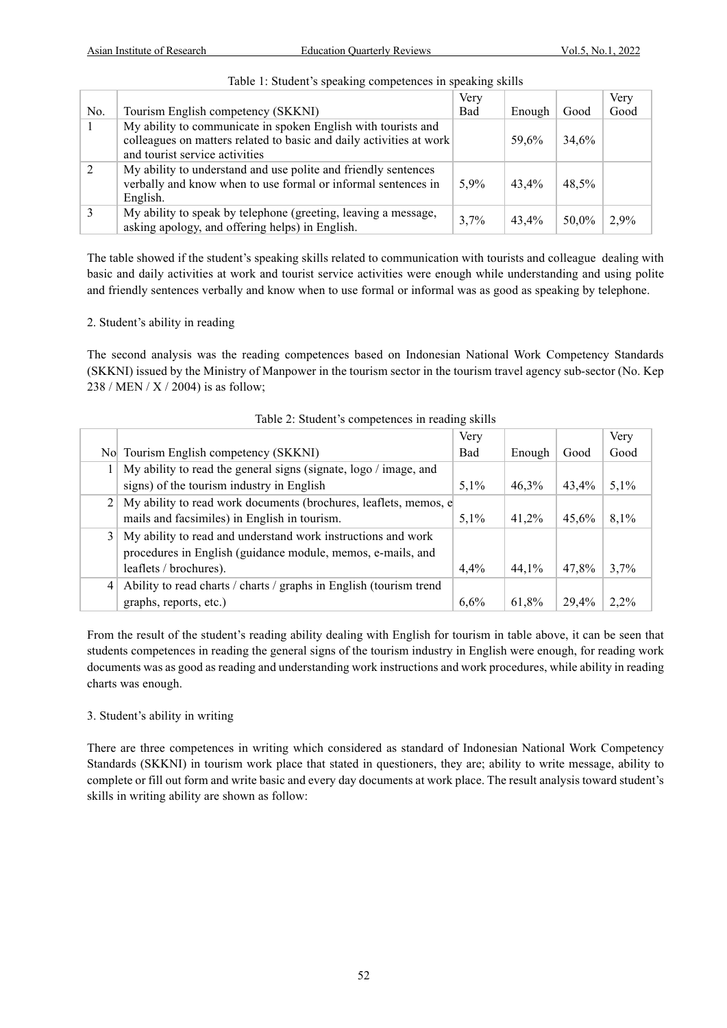|     |                                                                                                                                                                        | Very       |        |       | Very |
|-----|------------------------------------------------------------------------------------------------------------------------------------------------------------------------|------------|--------|-------|------|
| No. | Tourism English competency (SKKNI)                                                                                                                                     | <b>Bad</b> | Enough | Good  | Good |
|     | My ability to communicate in spoken English with tourists and<br>colleagues on matters related to basic and daily activities at work<br>and tourist service activities |            | 59.6%  | 34.6% |      |
|     | My ability to understand and use polite and friendly sentences<br>verbally and know when to use formal or informal sentences in<br>English.                            | 5,9%       | 43.4%  | 48.5% |      |
|     | My ability to speak by telephone (greeting, leaving a message,<br>asking apology, and offering helps) in English.                                                      | $3.7\%$    | 43.4%  | 50.0% | 2.9% |

# Table 1: Student's speaking competences in speaking skills

The table showed if the student's speaking skills related to communication with tourists and colleague dealing with basic and daily activities at work and tourist service activities were enough while understanding and using polite and friendly sentences verbally and know when to use formal or informal was as good as speaking by telephone.

# 2. Student's ability in reading

The second analysis was the reading competences based on Indonesian National Work Competency Standards (SKKNI) issued by the Ministry of Manpower in the tourism sector in the tourism travel agency sub-sector (No. Kep 238 / MEN / X / 2004) is as follow;

|   |                                                                    | Very       |        |       | Very    |
|---|--------------------------------------------------------------------|------------|--------|-------|---------|
|   | No Tourism English competency (SKKNI)                              | <b>Bad</b> | Enough | Good  | Good    |
|   | My ability to read the general signs (signate, logo / image, and   |            |        |       |         |
|   | signs) of the tourism industry in English                          | 5,1%       | 46,3%  | 43.4% | 5,1%    |
|   | My ability to read work documents (brochures, leaflets, memos, e   |            |        |       |         |
|   | mails and facsimiles) in English in tourism.                       | 5,1%       | 41.2%  | 45,6% | 8,1%    |
| 3 | My ability to read and understand work instructions and work       |            |        |       |         |
|   | procedures in English (guidance module, memos, e-mails, and        |            |        |       |         |
|   | leaflets / brochures).                                             | 4,4%       | 44,1%  | 47.8% | 3,7%    |
| 4 | Ability to read charts / charts / graphs in English (tourism trend |            |        |       |         |
|   | graphs, reports, etc.)                                             | $6.6\%$    | 61,8%  | 29.4% | $2.2\%$ |

Table 2: Student's competences in reading skills

From the result of the student's reading ability dealing with English for tourism in table above, it can be seen that students competences in reading the general signs of the tourism industry in English were enough, for reading work documents was as good as reading and understanding work instructions and work procedures, while ability in reading charts was enough.

# 3. Student's ability in writing

There are three competences in writing which considered as standard of Indonesian National Work Competency Standards (SKKNI) in tourism work place that stated in questioners, they are; ability to write message, ability to complete or fill out form and write basic and every day documents at work place. The result analysis toward student's skills in writing ability are shown as follow: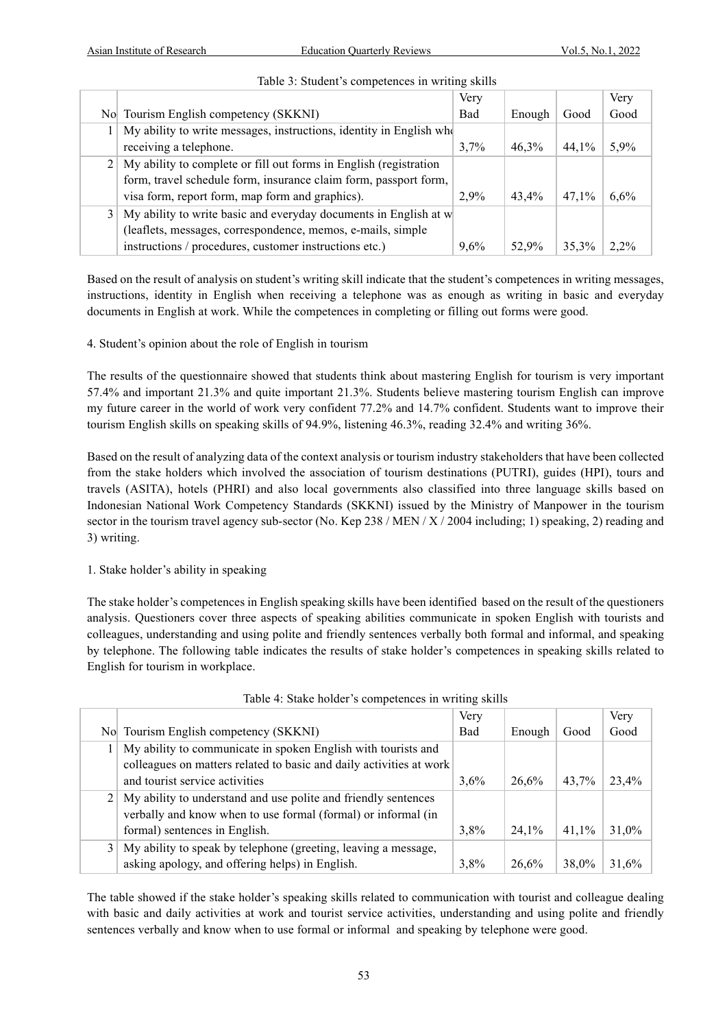|                                                                     | Very       |        |       | Very    |
|---------------------------------------------------------------------|------------|--------|-------|---------|
| No Tourism English competency (SKKNI)                               | <b>Bad</b> | Enough | Good  | Good    |
| My ability to write messages, instructions, identity in English who |            |        |       |         |
| receiving a telephone.                                              | $3.7\%$    | 46,3%  | 44.1% | 5.9%    |
| My ability to complete or fill out forms in English (registration   |            |        |       |         |
| form, travel schedule form, insurance claim form, passport form,    |            |        |       |         |
| visa form, report form, map form and graphics).                     | 2.9%       | 43.4%  | 47.1% | 6,6%    |
| My ability to write basic and everyday documents in English at w    |            |        |       |         |
| (leaflets, messages, correspondence, memos, e-mails, simple         |            |        |       |         |
| instructions / procedures, customer instructions etc.)              | $9.6\%$    | 52.9%  | 35.3% | $2.2\%$ |

# Table 3: Student's competences in writing skills

Based on the result of analysis on student's writing skill indicate that the student's competences in writing messages, instructions, identity in English when receiving a telephone was as enough as writing in basic and everyday documents in English at work. While the competences in completing or filling out forms were good.

# 4. Student's opinion about the role of English in tourism

The results of the questionnaire showed that students think about mastering English for tourism is very important 57.4% and important 21.3% and quite important 21.3%. Students believe mastering tourism English can improve my future career in the world of work very confident 77.2% and 14.7% confident. Students want to improve their tourism English skills on speaking skills of 94.9%, listening 46.3%, reading 32.4% and writing 36%.

Based on the result of analyzing data of the context analysis or tourism industry stakeholders that have been collected from the stake holders which involved the association of tourism destinations (PUTRI), guides (HPI), tours and travels (ASITA), hotels (PHRI) and also local governments also classified into three language skills based on Indonesian National Work Competency Standards (SKKNI) issued by the Ministry of Manpower in the tourism sector in the tourism travel agency sub-sector (No. Kep 238 / MEN /  $X$  / 2004 including; 1) speaking, 2) reading and 3) writing.

# 1. Stake holder's ability in speaking

The stake holder's competences in English speaking skills have been identified based on the result of the questioners analysis. Questioners cover three aspects of speaking abilities communicate in spoken English with tourists and colleagues, understanding and using polite and friendly sentences verbally both formal and informal, and speaking by telephone. The following table indicates the results of stake holder's competences in speaking skills related to English for tourism in workplace.

|                                                                     | Very       |        |       | Very  |
|---------------------------------------------------------------------|------------|--------|-------|-------|
| No Tourism English competency (SKKNI)                               | <b>Bad</b> | Enough | Good  | Good  |
| My ability to communicate in spoken English with tourists and       |            |        |       |       |
| colleagues on matters related to basic and daily activities at work |            |        |       |       |
| and tourist service activities                                      | 3,6%       | 26,6%  | 43.7% | 23,4% |
| My ability to understand and use polite and friendly sentences      |            |        |       |       |
| verbally and know when to use formal (formal) or informal (in       |            |        |       |       |
| formal) sentences in English.                                       | 3,8%       | 24,1%  | 41.1% | 31,0% |
| My ability to speak by telephone (greeting, leaving a message,      |            |        |       |       |
| asking apology, and offering helps) in English.                     | 3.8%       | 26.6%  | 38.0% | 31.6% |

#### Table 4: Stake holder's competences in writing skills

The table showed if the stake holder's speaking skills related to communication with tourist and colleague dealing with basic and daily activities at work and tourist service activities, understanding and using polite and friendly sentences verbally and know when to use formal or informal and speaking by telephone were good.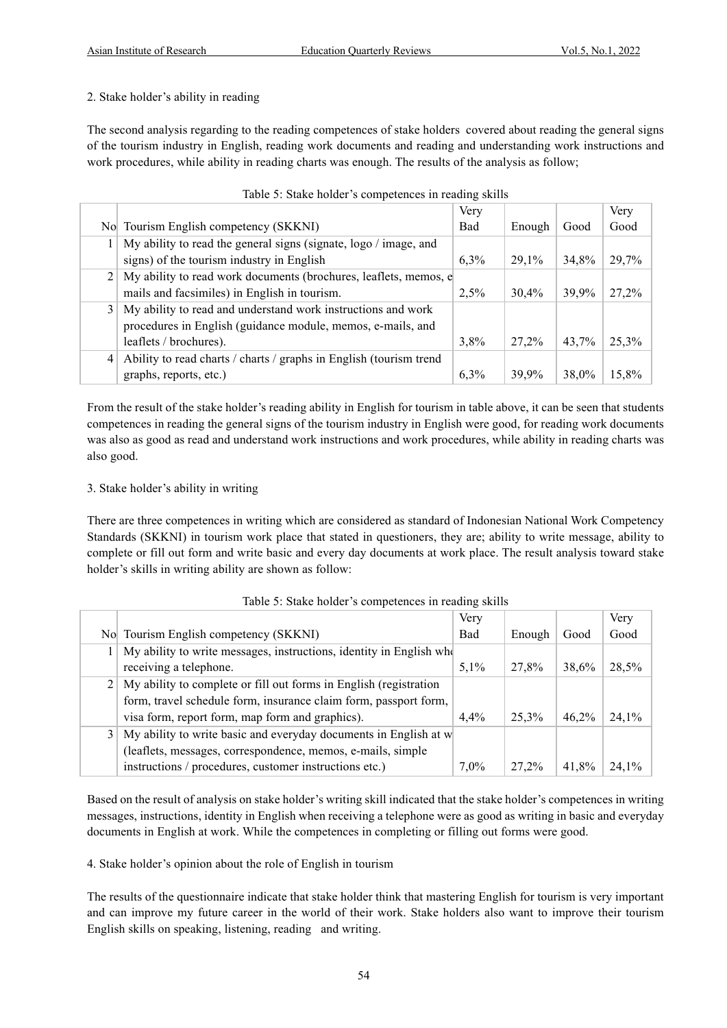# 2. Stake holder's ability in reading

The second analysis regarding to the reading competences of stake holders covered about reading the general signs of the tourism industry in English, reading work documents and reading and understanding work instructions and work procedures, while ability in reading charts was enough. The results of the analysis as follow;

|                |                                                                    | Very       |        |       | Very  |
|----------------|--------------------------------------------------------------------|------------|--------|-------|-------|
|                | No Tourism English competency (SKKNI)                              | <b>Bad</b> | Enough | Good  | Good  |
|                | My ability to read the general signs (signate, logo / image, and   |            |        |       |       |
|                | signs) of the tourism industry in English                          | 6,3%       | 29,1%  | 34.8% | 29,7% |
| 2 <sup>1</sup> | My ability to read work documents (brochures, leaflets, memos, e   |            |        |       |       |
|                | mails and facsimiles) in English in tourism.                       | 2,5%       | 30,4%  | 39,9% | 27.2% |
|                | My ability to read and understand work instructions and work       |            |        |       |       |
|                | procedures in English (guidance module, memos, e-mails, and        |            |        |       |       |
|                | leaflets / brochures).                                             | 3,8%       | 27.2%  | 43.7% | 25,3% |
| $\vert$        | Ability to read charts / charts / graphs in English (tourism trend |            |        |       |       |
|                | graphs, reports, etc.)                                             | 6,3%       | 39.9%  | 38.0% | 15.8% |

|  |  | Table 5: Stake holder's competences in reading skills |  |  |
|--|--|-------------------------------------------------------|--|--|
|  |  |                                                       |  |  |

From the result of the stake holder's reading ability in English for tourism in table above, it can be seen that students competences in reading the general signs of the tourism industry in English were good, for reading work documents was also as good as read and understand work instructions and work procedures, while ability in reading charts was also good.

# 3. Stake holder's ability in writing

There are three competences in writing which are considered as standard of Indonesian National Work Competency Standards (SKKNI) in tourism work place that stated in questioners, they are; ability to write message, ability to complete or fill out form and write basic and every day documents at work place. The result analysis toward stake holder's skills in writing ability are shown as follow:

|   |                                                                     | Very       |        |       | Very  |
|---|---------------------------------------------------------------------|------------|--------|-------|-------|
|   | No Tourism English competency (SKKNI)                               | <b>Bad</b> | Enough | Good  | Good  |
|   | My ability to write messages, instructions, identity in English who |            |        |       |       |
|   | receiving a telephone.                                              | $5.1\%$    | 27,8%  | 38.6% | 28,5% |
|   | My ability to complete or fill out forms in English (registration   |            |        |       |       |
|   | form, travel schedule form, insurance claim form, passport form,    |            |        |       |       |
|   | visa form, report form, map form and graphics).                     | $4.4\%$    | 25.3%  | 46.2% | 24,1% |
| 3 | My ability to write basic and everyday documents in English at w    |            |        |       |       |
|   | (leaflets, messages, correspondence, memos, e-mails, simple         |            |        |       |       |
|   | instructions / procedures, customer instructions etc.)              | $7,0\%$    | 27.2%  | 41.8% | 24.1% |

# Table 5: Stake holder's competences in reading skills

Based on the result of analysis on stake holder's writing skill indicated that the stake holder's competences in writing messages, instructions, identity in English when receiving a telephone were as good as writing in basic and everyday documents in English at work. While the competences in completing or filling out forms were good.

4. Stake holder's opinion about the role of English in tourism

The results of the questionnaire indicate that stake holder think that mastering English for tourism is very important and can improve my future career in the world of their work. Stake holders also want to improve their tourism English skills on speaking, listening, reading and writing.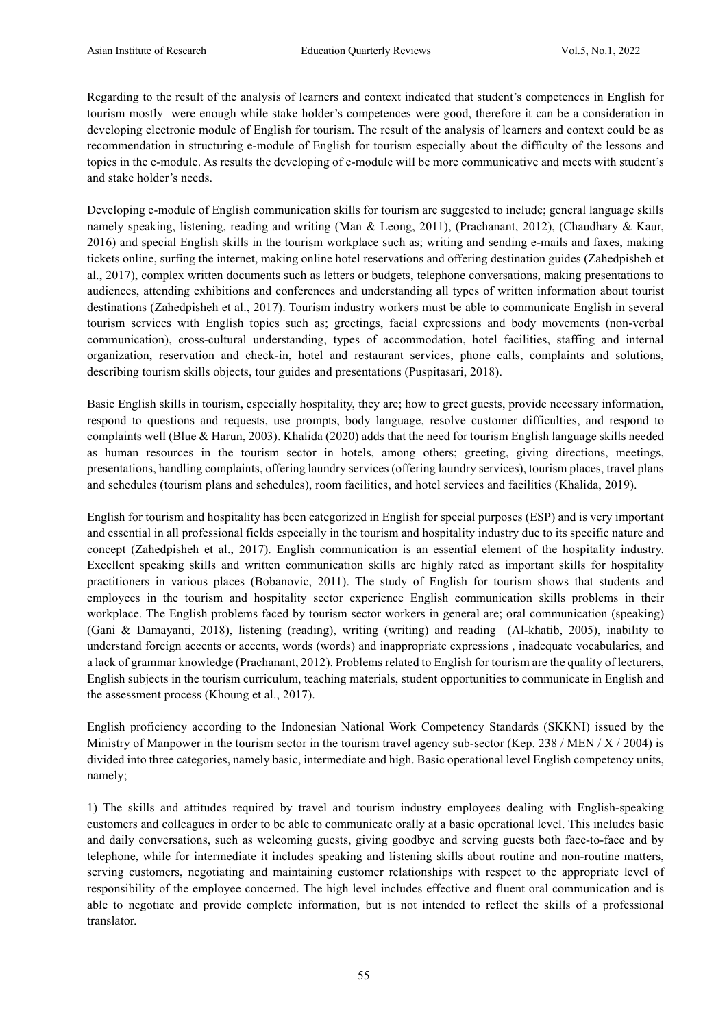Regarding to the result of the analysis of learners and context indicated that student's competences in English for tourism mostly were enough while stake holder's competences were good, therefore it can be a consideration in developing electronic module of English for tourism. The result of the analysis of learners and context could be as recommendation in structuring e-module of English for tourism especially about the difficulty of the lessons and topics in the e-module. As results the developing of e-module will be more communicative and meets with student's and stake holder's needs.

Developing e-module of English communication skills for tourism are suggested to include; general language skills namely speaking, listening, reading and writing (Man & Leong, 2011), (Prachanant, 2012), (Chaudhary & Kaur, 2016) and special English skills in the tourism workplace such as; writing and sending e-mails and faxes, making tickets online, surfing the internet, making online hotel reservations and offering destination guides (Zahedpisheh et al., 2017), complex written documents such as letters or budgets, telephone conversations, making presentations to audiences, attending exhibitions and conferences and understanding all types of written information about tourist destinations (Zahedpisheh et al., 2017). Tourism industry workers must be able to communicate English in several tourism services with English topics such as; greetings, facial expressions and body movements (non-verbal communication), cross-cultural understanding, types of accommodation, hotel facilities, staffing and internal organization, reservation and check-in, hotel and restaurant services, phone calls, complaints and solutions, describing tourism skills objects, tour guides and presentations (Puspitasari, 2018).

Basic English skills in tourism, especially hospitality, they are; how to greet guests, provide necessary information, respond to questions and requests, use prompts, body language, resolve customer difficulties, and respond to complaints well (Blue & Harun, 2003). Khalida (2020) adds that the need for tourism English language skills needed as human resources in the tourism sector in hotels, among others; greeting, giving directions, meetings, presentations, handling complaints, offering laundry services (offering laundry services), tourism places, travel plans and schedules (tourism plans and schedules), room facilities, and hotel services and facilities (Khalida, 2019).

English for tourism and hospitality has been categorized in English for special purposes (ESP) and is very important and essential in all professional fields especially in the tourism and hospitality industry due to its specific nature and concept (Zahedpisheh et al., 2017). English communication is an essential element of the hospitality industry. Excellent speaking skills and written communication skills are highly rated as important skills for hospitality practitioners in various places (Bobanovic, 2011). The study of English for tourism shows that students and employees in the tourism and hospitality sector experience English communication skills problems in their workplace. The English problems faced by tourism sector workers in general are; oral communication (speaking) (Gani & Damayanti, 2018), listening (reading), writing (writing) and reading (Al-khatib, 2005), inability to understand foreign accents or accents, words (words) and inappropriate expressions , inadequate vocabularies, and a lack of grammar knowledge (Prachanant, 2012). Problems related to English for tourism are the quality of lecturers, English subjects in the tourism curriculum, teaching materials, student opportunities to communicate in English and the assessment process (Khoung et al., 2017).

English proficiency according to the Indonesian National Work Competency Standards (SKKNI) issued by the Ministry of Manpower in the tourism sector in the tourism travel agency sub-sector (Kep. 238 / MEN /  $X$  / 2004) is divided into three categories, namely basic, intermediate and high. Basic operational level English competency units, namely;

1) The skills and attitudes required by travel and tourism industry employees dealing with English-speaking customers and colleagues in order to be able to communicate orally at a basic operational level. This includes basic and daily conversations, such as welcoming guests, giving goodbye and serving guests both face-to-face and by telephone, while for intermediate it includes speaking and listening skills about routine and non-routine matters, serving customers, negotiating and maintaining customer relationships with respect to the appropriate level of responsibility of the employee concerned. The high level includes effective and fluent oral communication and is able to negotiate and provide complete information, but is not intended to reflect the skills of a professional translator.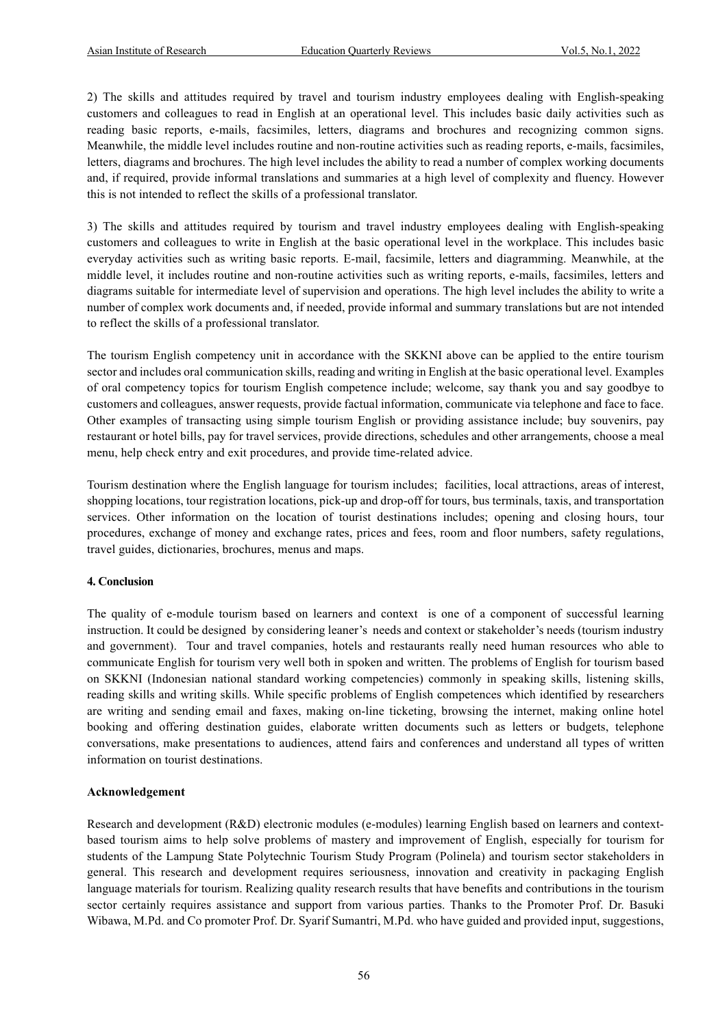2) The skills and attitudes required by travel and tourism industry employees dealing with English-speaking customers and colleagues to read in English at an operational level. This includes basic daily activities such as reading basic reports, e-mails, facsimiles, letters, diagrams and brochures and recognizing common signs. Meanwhile, the middle level includes routine and non-routine activities such as reading reports, e-mails, facsimiles, letters, diagrams and brochures. The high level includes the ability to read a number of complex working documents and, if required, provide informal translations and summaries at a high level of complexity and fluency. However this is not intended to reflect the skills of a professional translator.

3) The skills and attitudes required by tourism and travel industry employees dealing with English-speaking customers and colleagues to write in English at the basic operational level in the workplace. This includes basic everyday activities such as writing basic reports. E-mail, facsimile, letters and diagramming. Meanwhile, at the middle level, it includes routine and non-routine activities such as writing reports, e-mails, facsimiles, letters and diagrams suitable for intermediate level of supervision and operations. The high level includes the ability to write a number of complex work documents and, if needed, provide informal and summary translations but are not intended to reflect the skills of a professional translator.

The tourism English competency unit in accordance with the SKKNI above can be applied to the entire tourism sector and includes oral communication skills, reading and writing in English at the basic operational level. Examples of oral competency topics for tourism English competence include; welcome, say thank you and say goodbye to customers and colleagues, answer requests, provide factual information, communicate via telephone and face to face. Other examples of transacting using simple tourism English or providing assistance include; buy souvenirs, pay restaurant or hotel bills, pay for travel services, provide directions, schedules and other arrangements, choose a meal menu, help check entry and exit procedures, and provide time-related advice.

Tourism destination where the English language for tourism includes; facilities, local attractions, areas of interest, shopping locations, tour registration locations, pick-up and drop-off for tours, bus terminals, taxis, and transportation services. Other information on the location of tourist destinations includes; opening and closing hours, tour procedures, exchange of money and exchange rates, prices and fees, room and floor numbers, safety regulations, travel guides, dictionaries, brochures, menus and maps.

#### **4. Conclusion**

The quality of e-module tourism based on learners and context is one of a component of successful learning instruction. It could be designed by considering leaner's needs and context or stakeholder's needs (tourism industry and government). Tour and travel companies, hotels and restaurants really need human resources who able to communicate English for tourism very well both in spoken and written. The problems of English for tourism based on SKKNI (Indonesian national standard working competencies) commonly in speaking skills, listening skills, reading skills and writing skills. While specific problems of English competences which identified by researchers are writing and sending email and faxes, making on-line ticketing, browsing the internet, making online hotel booking and offering destination guides, elaborate written documents such as letters or budgets, telephone conversations, make presentations to audiences, attend fairs and conferences and understand all types of written information on tourist destinations.

#### **Acknowledgement**

Research and development (R&D) electronic modules (e-modules) learning English based on learners and contextbased tourism aims to help solve problems of mastery and improvement of English, especially for tourism for students of the Lampung State Polytechnic Tourism Study Program (Polinela) and tourism sector stakeholders in general. This research and development requires seriousness, innovation and creativity in packaging English language materials for tourism. Realizing quality research results that have benefits and contributions in the tourism sector certainly requires assistance and support from various parties. Thanks to the Promoter Prof. Dr. Basuki Wibawa, M.Pd. and Co promoter Prof. Dr. Syarif Sumantri, M.Pd. who have guided and provided input, suggestions,